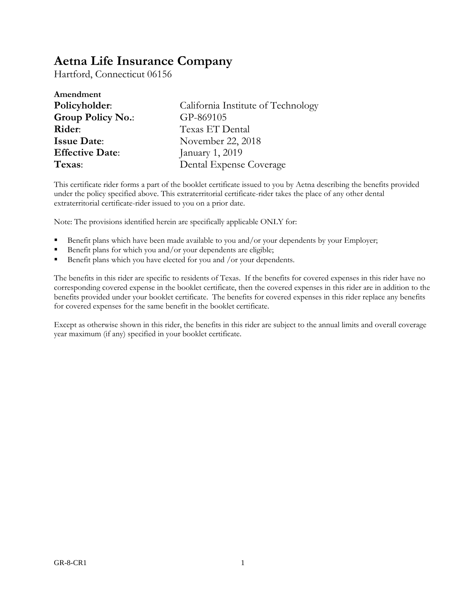# **Aetna Life Insurance Company**

Hartford, Connecticut 06156

| Amendment                |                                    |
|--------------------------|------------------------------------|
| Policyholder:            | California Institute of Technology |
| <b>Group Policy No.:</b> | GP-869105                          |
| Rider:                   | Texas ET Dental                    |
| <b>Issue Date:</b>       | November 22, 2018                  |
| <b>Effective Date:</b>   | January 1, 2019                    |
| Texas:                   | Dental Expense Coverage            |

This certificate rider forms a part of the booklet certificate issued to you by Aetna describing the benefits provided under the policy specified above. This extraterritorial certificate-rider takes the place of any other dental extraterritorial certificate-rider issued to you on a prior date.

Note: The provisions identified herein are specifically applicable ONLY for:

- Benefit plans which have been made available to you and/or your dependents by your Employer;
- Benefit plans for which you and/or your dependents are eligible;
- Benefit plans which you have elected for you and /or your dependents.

The benefits in this rider are specific to residents of Texas. If the benefits for covered expenses in this rider have no corresponding covered expense in the booklet certificate, then the covered expenses in this rider are in addition to the benefits provided under your booklet certificate. The benefits for covered expenses in this rider replace any benefits for covered expenses for the same benefit in the booklet certificate.

Except as otherwise shown in this rider, the benefits in this rider are subject to the annual limits and overall coverage year maximum (if any) specified in your booklet certificate.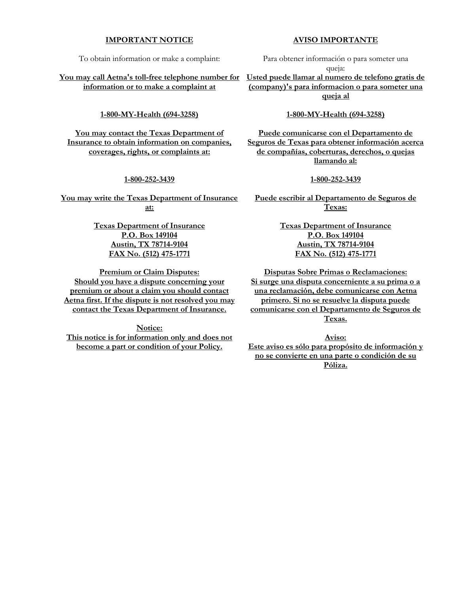#### **IMPORTANT NOTICE**

To obtain information or make a complaint:

**You may call Aetna's toll-free telephone number for Usted puede llamar al numero de telefono gratis de information or to make a complaint at**

**1-800-MY-Health (694-3258)**

**You may contact the Texas Department of Insurance to obtain information on companies, coverages, rights, or complaints at:**

#### **1-800-252-3439**

**You may write the Texas Department of Insurance at:**

> **Texas Department of Insurance P.O. Box 149104 Austin, TX 78714-9104 FAX No. (512) 475-1771**

**Premium or Claim Disputes: Should you have a dispute concerning your premium or about a claim you should contact Aetna first. If the dispute is not resolved you may contact the Texas Department of Insurance.**

**Notice:**

**This notice is for information only and does not become a part or condition of your Policy.**

Para obtener información o para someter una

queja:

**(company)'s para informacion o para someter una queja al**

#### **1-800-MY-Health (694-3258)**

**Puede comunicarse con el Departamento de Seguros de Texas para obtener información acerca de compañías, coberturas, derechos, o quejas llamando al:**

#### **1-800-252-3439**

**Puede escribir al Departamento de Seguros de Texas:**

> **Texas Department of Insurance P.O. Box 149104 Austin, TX 78714-9104 FAX No. (512) 475-1771**

**Disputas Sobre Primas o Reclamaciones: Si surge una disputa concerniente a su prima o a una reclamación, debe comunicarse con Aetna primero. Si no se resuelve la disputa puede comunicarse con el Departamento de Seguros de Texas.**

**Aviso: Este aviso es sólo para propósito de información y no se convierte en una parte o condición de su Póliza.**

#### **AVISO IMPORTANTE**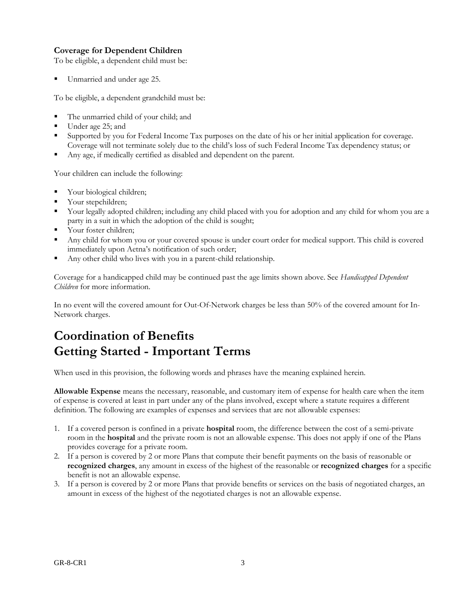# **Coverage for Dependent Children**

To be eligible, a dependent child must be:

Unmarried and under age 25.

To be eligible, a dependent grandchild must be:

- The unmarried child of your child; and
- Under age 25; and
- Supported by you for Federal Income Tax purposes on the date of his or her initial application for coverage. Coverage will not terminate solely due to the child's loss of such Federal Income Tax dependency status; or
- Any age, if medically certified as disabled and dependent on the parent.

Your children can include the following:

- Your biological children;
- Your stepchildren;
- Your legally adopted children; including any child placed with you for adoption and any child for whom you are a party in a suit in which the adoption of the child is sought;
- Your foster children;
- Any child for whom you or your covered spouse is under court order for medical support. This child is covered immediately upon Aetna's notification of such order;
- Any other child who lives with you in a parent-child relationship.

Coverage for a handicapped child may be continued past the age limits shown above. See *Handicapped Dependent Children* for more information.

In no event will the covered amount for Out-Of-Network charges be less than 50% of the covered amount for In-Network charges.

# **Coordination of Benefits Getting Started - Important Terms**

When used in this provision, the following words and phrases have the meaning explained herein.

**Allowable Expense** means the necessary, reasonable, and customary item of expense for health care when the item of expense is covered at least in part under any of the plans involved, except where a statute requires a different definition. The following are examples of expenses and services that are not allowable expenses:

- 1. If a covered person is confined in a private **hospital** room, the difference between the cost of a semi-private room in the **hospital** and the private room is not an allowable expense. This does not apply if one of the Plans provides coverage for a private room.
- 2. If a person is covered by 2 or more Plans that compute their benefit payments on the basis of reasonable or **recognized charges**, any amount in excess of the highest of the reasonable or **recognized charges** for a specific benefit is not an allowable expense.
- 3. If a person is covered by 2 or more Plans that provide benefits or services on the basis of negotiated charges, an amount in excess of the highest of the negotiated charges is not an allowable expense.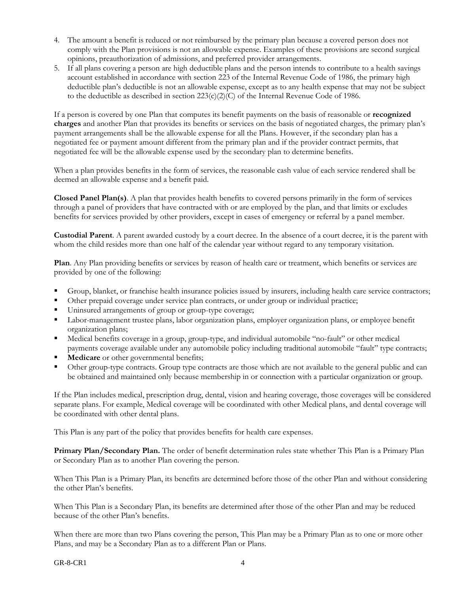- 4. The amount a benefit is reduced or not reimbursed by the primary plan because a covered person does not comply with the Plan provisions is not an allowable expense. Examples of these provisions are second surgical opinions, preauthorization of admissions, and preferred provider arrangements.
- 5. If all plans covering a person are high deductible plans and the person intends to contribute to a health savings account established in accordance with section 223 of the Internal Revenue Code of 1986, the primary high deductible plan's deductible is not an allowable expense, except as to any health expense that may not be subject to the deductible as described in section  $223(c)(2)(C)$  of the Internal Revenue Code of 1986.

If a person is covered by one Plan that computes its benefit payments on the basis of reasonable or **recognized charges** and another Plan that provides its benefits or services on the basis of negotiated charges, the primary plan's payment arrangements shall be the allowable expense for all the Plans. However, if the secondary plan has a negotiated fee or payment amount different from the primary plan and if the provider contract permits, that negotiated fee will be the allowable expense used by the secondary plan to determine benefits.

When a plan provides benefits in the form of services, the reasonable cash value of each service rendered shall be deemed an allowable expense and a benefit paid.

**Closed Panel Plan(s)**. A plan that provides health benefits to covered persons primarily in the form of services through a panel of providers that have contracted with or are employed by the plan, and that limits or excludes benefits for services provided by other providers, except in cases of emergency or referral by a panel member.

**Custodial Parent**. A parent awarded custody by a court decree. In the absence of a court decree, it is the parent with whom the child resides more than one half of the calendar year without regard to any temporary visitation.

**Plan**. Any Plan providing benefits or services by reason of health care or treatment, which benefits or services are provided by one of the following:

- Group, blanket, or franchise health insurance policies issued by insurers, including health care service contractors;
- Other prepaid coverage under service plan contracts, or under group or individual practice;
- Uninsured arrangements of group or group-type coverage;
- Labor-management trustee plans, labor organization plans, employer organization plans, or employee benefit organization plans;
- Medical benefits coverage in a group, group-type, and individual automobile "no-fault" or other medical payments coverage available under any automobile policy including traditional automobile "fault" type contracts;
- **Medicare** or other governmental benefits;
- Other group-type contracts. Group type contracts are those which are not available to the general public and can be obtained and maintained only because membership in or connection with a particular organization or group.

If the Plan includes medical, prescription drug, dental, vision and hearing coverage, those coverages will be considered separate plans. For example, Medical coverage will be coordinated with other Medical plans, and dental coverage will be coordinated with other dental plans.

This Plan is any part of the policy that provides benefits for health care expenses.

**Primary Plan/Secondary Plan.** The order of benefit determination rules state whether This Plan is a Primary Plan or Secondary Plan as to another Plan covering the person.

When This Plan is a Primary Plan, its benefits are determined before those of the other Plan and without considering the other Plan's benefits.

When This Plan is a Secondary Plan, its benefits are determined after those of the other Plan and may be reduced because of the other Plan's benefits.

When there are more than two Plans covering the person, This Plan may be a Primary Plan as to one or more other Plans, and may be a Secondary Plan as to a different Plan or Plans.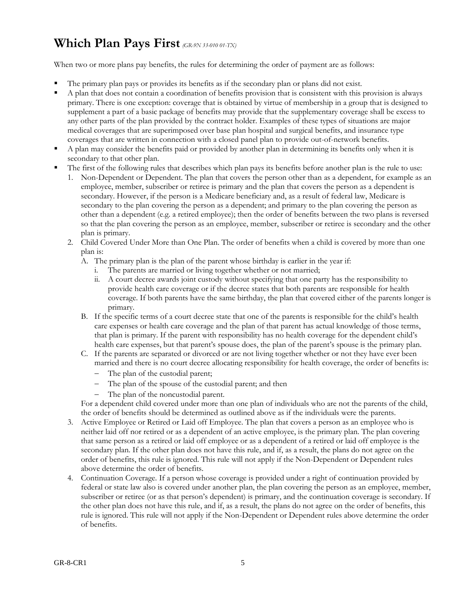# **Which Plan Pays First** *(GR-9N 33-010 01-TX)*

When two or more plans pay benefits, the rules for determining the order of payment are as follows:

- The primary plan pays or provides its benefits as if the secondary plan or plans did not exist.
- A plan that does not contain a coordination of benefits provision that is consistent with this provision is always primary. There is one exception: coverage that is obtained by virtue of membership in a group that is designed to supplement a part of a basic package of benefits may provide that the supplementary coverage shall be excess to any other parts of the plan provided by the contract holder. Examples of these types of situations are major medical coverages that are superimposed over base plan hospital and surgical benefits, and insurance type coverages that are written in connection with a closed panel plan to provide out-of-network benefits.
- A plan may consider the benefits paid or provided by another plan in determining its benefits only when it is secondary to that other plan.
- The first of the following rules that describes which plan pays its benefits before another plan is the rule to use:
	- 1. Non-Dependent or Dependent. The plan that covers the person other than as a dependent, for example as an employee, member, subscriber or retiree is primary and the plan that covers the person as a dependent is secondary. However, if the person is a Medicare beneficiary and, as a result of federal law, Medicare is secondary to the plan covering the person as a dependent; and primary to the plan covering the person as other than a dependent (e.g. a retired employee); then the order of benefits between the two plans is reversed so that the plan covering the person as an employee, member, subscriber or retiree is secondary and the other plan is primary.
	- 2. Child Covered Under More than One Plan. The order of benefits when a child is covered by more than one plan is:
		- A. The primary plan is the plan of the parent whose birthday is earlier in the year if:
			- i. The parents are married or living together whether or not married;
			- ii. A court decree awards joint custody without specifying that one party has the responsibility to provide health care coverage or if the decree states that both parents are responsible for health coverage. If both parents have the same birthday, the plan that covered either of the parents longer is primary.
		- B. If the specific terms of a court decree state that one of the parents is responsible for the child's health care expenses or health care coverage and the plan of that parent has actual knowledge of those terms, that plan is primary. If the parent with responsibility has no health coverage for the dependent child's health care expenses, but that parent's spouse does, the plan of the parent's spouse is the primary plan.
		- C. If the parents are separated or divorced or are not living together whether or not they have ever been married and there is no court decree allocating responsibility for health coverage, the order of benefits is:
			- The plan of the custodial parent;
			- The plan of the spouse of the custodial parent; and then
			- The plan of the noncustodial parent.

For a dependent child covered under more than one plan of individuals who are not the parents of the child, the order of benefits should be determined as outlined above as if the individuals were the parents.

- 3. Active Employee or Retired or Laid off Employee. The plan that covers a person as an employee who is neither laid off nor retired or as a dependent of an active employee, is the primary plan. The plan covering that same person as a retired or laid off employee or as a dependent of a retired or laid off employee is the secondary plan. If the other plan does not have this rule, and if, as a result, the plans do not agree on the order of benefits, this rule is ignored. This rule will not apply if the Non-Dependent or Dependent rules above determine the order of benefits.
- 4. Continuation Coverage. If a person whose coverage is provided under a right of continuation provided by federal or state law also is covered under another plan, the plan covering the person as an employee, member, subscriber or retiree (or as that person's dependent) is primary, and the continuation coverage is secondary. If the other plan does not have this rule, and if, as a result, the plans do not agree on the order of benefits, this rule is ignored. This rule will not apply if the Non-Dependent or Dependent rules above determine the order of benefits.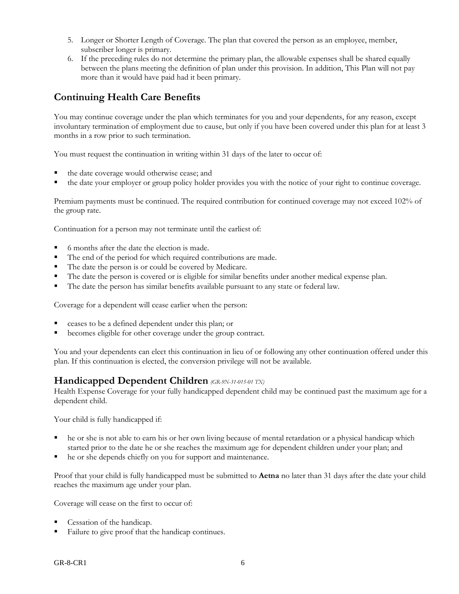- 5. Longer or Shorter Length of Coverage. The plan that covered the person as an employee, member, subscriber longer is primary.
- 6. If the preceding rules do not determine the primary plan, the allowable expenses shall be shared equally between the plans meeting the definition of plan under this provision. In addition, This Plan will not pay more than it would have paid had it been primary.

# **Continuing Health Care Benefits**

You may continue coverage under the plan which terminates for you and your dependents, for any reason, except involuntary termination of employment due to cause, but only if you have been covered under this plan for at least 3 months in a row prior to such termination.

You must request the continuation in writing within 31 days of the later to occur of:

- the date coverage would otherwise cease; and
- the date your employer or group policy holder provides you with the notice of your right to continue coverage.

Premium payments must be continued. The required contribution for continued coverage may not exceed 102% of the group rate.

Continuation for a person may not terminate until the earliest of:

- 6 months after the date the election is made.
- The end of the period for which required contributions are made.
- The date the person is or could be covered by Medicare.
- The date the person is covered or is eligible for similar benefits under another medical expense plan.
- The date the person has similar benefits available pursuant to any state or federal law.

Coverage for a dependent will cease earlier when the person:

- ceases to be a defined dependent under this plan; or
- becomes eligible for other coverage under the group contract.

You and your dependents can elect this continuation in lieu of or following any other continuation offered under this plan. If this continuation is elected, the conversion privilege will not be available.

# **Handicapped Dependent Children** *(GR-9N-31-015-01 TX)*

Health Expense Coverage for your fully handicapped dependent child may be continued past the maximum age for a dependent child.

Your child is fully handicapped if:

- he or she is not able to earn his or her own living because of mental retardation or a physical handicap which started prior to the date he or she reaches the maximum age for dependent children under your plan; and
- he or she depends chiefly on you for support and maintenance.

Proof that your child is fully handicapped must be submitted to **Aetna** no later than 31 days after the date your child reaches the maximum age under your plan.

Coverage will cease on the first to occur of:

- Cessation of the handicap.
- Failure to give proof that the handicap continues.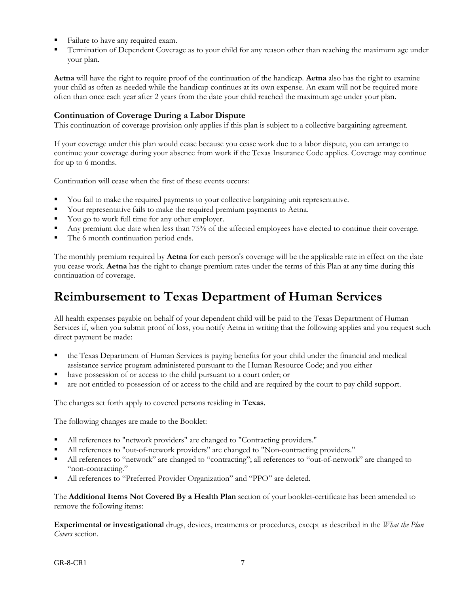- Failure to have any required exam.
- Termination of Dependent Coverage as to your child for any reason other than reaching the maximum age under your plan.

**Aetna** will have the right to require proof of the continuation of the handicap. **Aetna** also has the right to examine your child as often as needed while the handicap continues at its own expense. An exam will not be required more often than once each year after 2 years from the date your child reached the maximum age under your plan.

## **Continuation of Coverage During a Labor Dispute**

This continuation of coverage provision only applies if this plan is subject to a collective bargaining agreement.

If your coverage under this plan would cease because you cease work due to a labor dispute, you can arrange to continue your coverage during your absence from work if the Texas Insurance Code applies. Coverage may continue for up to 6 months.

Continuation will cease when the first of these events occurs:

- You fail to make the required payments to your collective bargaining unit representative.
- Your representative fails to make the required premium payments to Aetna.
- You go to work full time for any other employer.
- Any premium due date when less than 75% of the affected employees have elected to continue their coverage.
- The 6 month continuation period ends.

The monthly premium required by **Aetna** for each person's coverage will be the applicable rate in effect on the date you cease work. **Aetna** has the right to change premium rates under the terms of this Plan at any time during this continuation of coverage.

# **Reimbursement to Texas Department of Human Services**

All health expenses payable on behalf of your dependent child will be paid to the Texas Department of Human Services if, when you submit proof of loss, you notify Aetna in writing that the following applies and you request such direct payment be made:

- the Texas Department of Human Services is paying benefits for your child under the financial and medical assistance service program administered pursuant to the Human Resource Code; and you either
- have possession of or access to the child pursuant to a court order; or
- are not entitled to possession of or access to the child and are required by the court to pay child support.

The changes set forth apply to covered persons residing in **Texas**.

The following changes are made to the Booklet:

- All references to "network providers" are changed to "Contracting providers."
- All references to "out-of-network providers" are changed to "Non-contracting providers."
- All references to "network" are changed to "contracting"; all references to "out-of-network" are changed to "non-contracting."
- All references to "Preferred Provider Organization" and "PPO" are deleted.

The **Additional Items Not Covered By a Health Plan** section of your booklet-certificate has been amended to remove the following items:

**Experimental or investigational** drugs, devices, treatments or procedures, except as described in the *What the Plan Covers* section.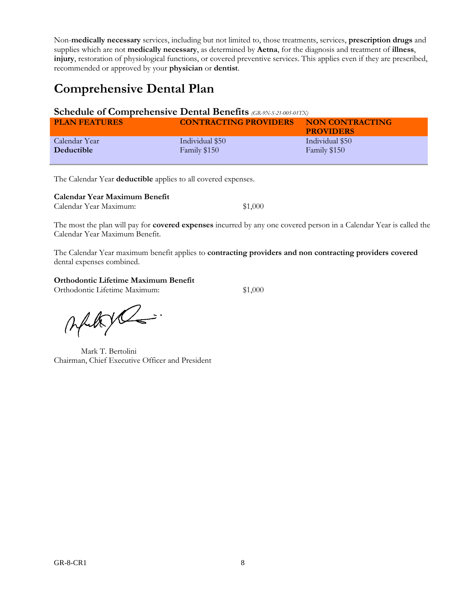Non-**medically necessary** services, including but not limited to, those treatments, services, **prescription drugs** and supplies which are not **medically necessary**, as determined by **Aetna**, for the diagnosis and treatment of **illness**, **injury**, restoration of physiological functions, or covered preventive services. This applies even if they are prescribed, recommended or approved by your **physician** or **dentist**.

# **Comprehensive Dental Plan**

## **Schedule of Comprehensive Dental Benefits** *(GR-9N-S-21-005-01TX)*

| <b>PLAN FEATURES</b> | <b>CONTRACTING PROVIDERS</b> | NON CONTRACTING<br><b>PROVIDERS</b> |
|----------------------|------------------------------|-------------------------------------|
| Calendar Year        | Individual \$50              | Individual \$50                     |
| Deductible           | Family \$150                 | Family \$150                        |

The Calendar Year **deductible** applies to all covered expenses.

**Calendar Year Maximum Benefit**

Calendar Year Maximum: \$1,000

The most the plan will pay for **covered expenses** incurred by any one covered person in a Calendar Year is called the Calendar Year Maximum Benefit.

The Calendar Year maximum benefit applies to **contracting providers and non contracting providers covered** dental expenses combined.

### **Orthodontic Lifetime Maximum Benefit**

Orthodontic Lifetime Maximum: \$1,000

Altyl

Mark T. Bertolini Chairman, Chief Executive Officer and President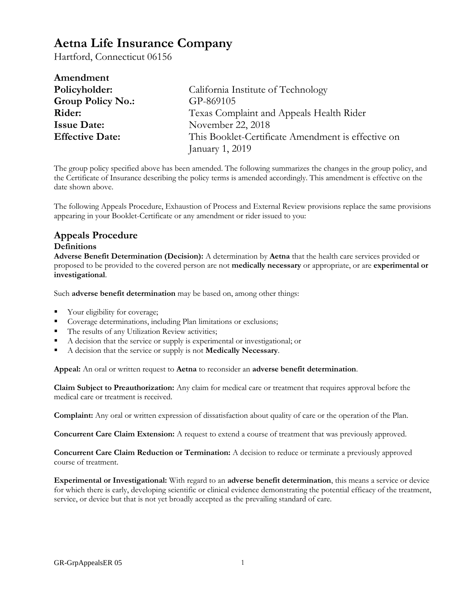# **Aetna Life Insurance Company**

Hartford, Connecticut 06156

| Amendment                |                                                    |
|--------------------------|----------------------------------------------------|
| Policyholder:            | California Institute of Technology                 |
| <b>Group Policy No.:</b> | GP-869105                                          |
| Rider:                   | Texas Complaint and Appeals Health Rider           |
| <b>Issue Date:</b>       | November 22, 2018                                  |
| <b>Effective Date:</b>   | This Booklet-Certificate Amendment is effective on |
|                          | January 1, 2019                                    |

The group policy specified above has been amended. The following summarizes the changes in the group policy, and the Certificate of Insurance describing the policy terms is amended accordingly. This amendment is effective on the date shown above.

The following Appeals Procedure, Exhaustion of Process and External Review provisions replace the same provisions appearing in your Booklet-Certificate or any amendment or rider issued to you:

# **Appeals Procedure**

### **Definitions**

**Adverse Benefit Determination (Decision):** A determination by **Aetna** that the health care services provided or proposed to be provided to the covered person are not **medically necessary** or appropriate, or are **experimental or investigational**.

Such **adverse benefit determination** may be based on, among other things:

- Your eligibility for coverage;
- Coverage determinations, including Plan limitations or exclusions;
- The results of any Utilization Review activities;
- A decision that the service or supply is experimental or investigational; or
- A decision that the service or supply is not **Medically Necessary**.

**Appeal:** An oral or written request to **Aetna** to reconsider an **adverse benefit determination**.

**Claim Subject to Preauthorization:** Any claim for medical care or treatment that requires approval before the medical care or treatment is received.

**Complaint:** Any oral or written expression of dissatisfaction about quality of care or the operation of the Plan.

**Concurrent Care Claim Extension:** A request to extend a course of treatment that was previously approved.

**Concurrent Care Claim Reduction or Termination:** A decision to reduce or terminate a previously approved course of treatment.

**Experimental or Investigational:** With regard to an **adverse benefit determination**, this means a service or device for which there is early, developing scientific or clinical evidence demonstrating the potential efficacy of the treatment, service, or device but that is not yet broadly accepted as the prevailing standard of care.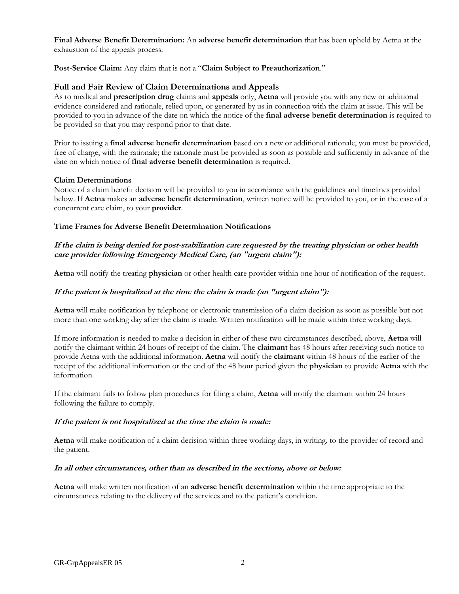**Final Adverse Benefit Determination:** An **adverse benefit determination** that has been upheld by Aetna at the exhaustion of the appeals process.

**Post-Service Claim:** Any claim that is not a "**Claim Subject to Preauthorization**."

### **Full and Fair Review of Claim Determinations and Appeals**

As to medical and **prescription drug** claims and **appeals** only, **Aetna** will provide you with any new or additional evidence considered and rationale, relied upon, or generated by us in connection with the claim at issue. This will be provided to you in advance of the date on which the notice of the **final adverse benefit determination** is required to be provided so that you may respond prior to that date.

Prior to issuing a **final adverse benefit determination** based on a new or additional rationale, you must be provided, free of charge, with the rationale; the rationale must be provided as soon as possible and sufficiently in advance of the date on which notice of **final adverse benefit determination** is required.

#### **Claim Determinations**

Notice of a claim benefit decision will be provided to you in accordance with the guidelines and timelines provided below. If **Aetna** makes an **adverse benefit determination**, written notice will be provided to you, or in the case of a concurrent care claim, to your **provider**.

### **Time Frames for Adverse Benefit Determination Notifications**

### **If the claim is being denied for post-stabilization care requested by the treating physician or other health care provider following Emergency Medical Care, (an "urgent claim"):**

**Aetna** will notify the treating **physician** or other health care provider within one hour of notification of the request.

### **If the patient is hospitalized at the time the claim is made (an "urgent claim"):**

**Aetna** will make notification by telephone or electronic transmission of a claim decision as soon as possible but not more than one working day after the claim is made. Written notification will be made within three working days.

If more information is needed to make a decision in either of these two circumstances described, above, **Aetna** will notify the claimant within 24 hours of receipt of the claim. The **claimant** has 48 hours after receiving such notice to provide Aetna with the additional information. **Aetna** will notify the **claimant** within 48 hours of the earlier of the receipt of the additional information or the end of the 48 hour period given the **physician** to provide **Aetna** with the information.

If the claimant fails to follow plan procedures for filing a claim, **Aetna** will notify the claimant within 24 hours following the failure to comply.

### **If the patient is not hospitalized at the time the claim is made:**

**Aetna** will make notification of a claim decision within three working days, in writing, to the provider of record and the patient.

#### **In all other circumstances, other than as described in the sections, above or below:**

**Aetna** will make written notification of an **adverse benefit determination** within the time appropriate to the circumstances relating to the delivery of the services and to the patient's condition.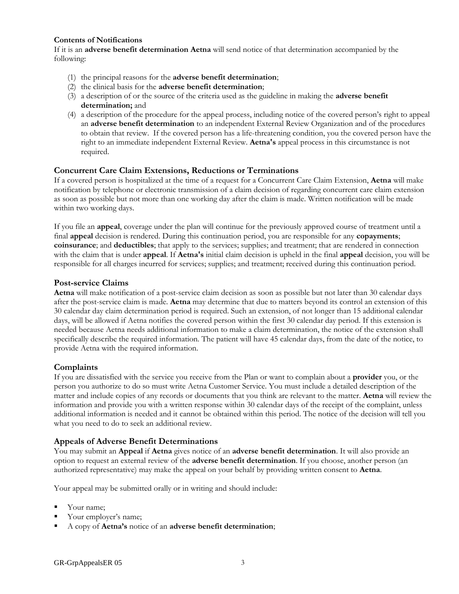#### **Contents of Notifications**

If it is an **adverse benefit determination Aetna** will send notice of that determination accompanied by the following:

- (1) the principal reasons for the **adverse benefit determination**;
- (2) the clinical basis for the **adverse benefit determination**;
- (3) a description of or the source of the criteria used as the guideline in making the **adverse benefit determination;** and
- (4) a description of the procedure for the appeal process, including notice of the covered person's right to appeal an **adverse benefit determination** to an independent External Review Organization and of the procedures to obtain that review. If the covered person has a life-threatening condition, you the covered person have the right to an immediate independent External Review. **Aetna's** appeal process in this circumstance is not required.

### **Concurrent Care Claim Extensions, Reductions or Terminations**

If a covered person is hospitalized at the time of a request for a Concurrent Care Claim Extension, **Aetna** will make notification by telephone or electronic transmission of a claim decision of regarding concurrent care claim extension as soon as possible but not more than one working day after the claim is made. Written notification will be made within two working days.

If you file an **appeal**, coverage under the plan will continue for the previously approved course of treatment until a final **appeal** decision is rendered. During this continuation period, you are responsible for any **copayments**; **coinsurance**; and **deductibles**; that apply to the services; supplies; and treatment; that are rendered in connection with the claim that is under **appeal**. If **Aetna's** initial claim decision is upheld in the final **appeal** decision, you will be responsible for all charges incurred for services; supplies; and treatment; received during this continuation period.

### **Post-service Claims**

**Aetna** will make notification of a post-service claim decision as soon as possible but not later than 30 calendar days after the post-service claim is made. **Aetna** may determine that due to matters beyond its control an extension of this 30 calendar day claim determination period is required. Such an extension, of not longer than 15 additional calendar days, will be allowed if Aetna notifies the covered person within the first 30 calendar day period. If this extension is needed because Aetna needs additional information to make a claim determination, the notice of the extension shall specifically describe the required information. The patient will have 45 calendar days, from the date of the notice, to provide Aetna with the required information.

### **Complaints**

If you are dissatisfied with the service you receive from the Plan or want to complain about a **provider** you, or the person you authorize to do so must write Aetna Customer Service. You must include a detailed description of the matter and include copies of any records or documents that you think are relevant to the matter. **Aetna** will review the information and provide you with a written response within 30 calendar days of the receipt of the complaint, unless additional information is needed and it cannot be obtained within this period. The notice of the decision will tell you what you need to do to seek an additional review.

### **Appeals of Adverse Benefit Determinations**

You may submit an **Appeal** if **Aetna** gives notice of an **adverse benefit determination**. It will also provide an option to request an external review of the **adverse benefit determination**. If you choose, another person (an authorized representative) may make the appeal on your behalf by providing written consent to **Aetna**.

Your appeal may be submitted orally or in writing and should include:

- Your name;
- Your employer's name;
- A copy of **Aetna's** notice of an **adverse benefit determination**;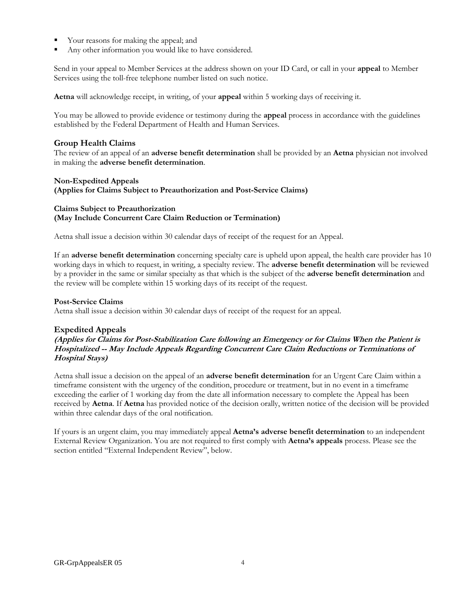- Your reasons for making the appeal; and
- Any other information you would like to have considered.

Send in your appeal to Member Services at the address shown on your ID Card, or call in your **appeal** to Member Services using the toll-free telephone number listed on such notice.

**Aetna** will acknowledge receipt, in writing, of your **appeal** within 5 working days of receiving it.

You may be allowed to provide evidence or testimony during the **appeal** process in accordance with the guidelines established by the Federal Department of Health and Human Services.

### **Group Health Claims**

The review of an appeal of an **adverse benefit determination** shall be provided by an **Aetna** physician not involved in making the **adverse benefit determination**.

#### **Non-Expedited Appeals**

**(Applies for Claims Subject to Preauthorization and Post-Service Claims)** 

#### **Claims Subject to Preauthorization (May Include Concurrent Care Claim Reduction or Termination)**

Aetna shall issue a decision within 30 calendar days of receipt of the request for an Appeal.

If an **adverse benefit determination** concerning specialty care is upheld upon appeal, the health care provider has 10 working days in which to request, in writing, a specialty review. The **adverse benefit determination** will be reviewed by a provider in the same or similar specialty as that which is the subject of the **adverse benefit determination** and the review will be complete within 15 working days of its receipt of the request.

#### **Post-Service Claims**

Aetna shall issue a decision within 30 calendar days of receipt of the request for an appeal.

### **Expedited Appeals**

### **(Applies for Claims for Post-Stabilization Care following an Emergency or for Claims When the Patient is Hospitalized -- May Include Appeals Regarding Concurrent Care Claim Reductions or Terminations of Hospital Stays)**

Aetna shall issue a decision on the appeal of an **adverse benefit determination** for an Urgent Care Claim within a timeframe consistent with the urgency of the condition, procedure or treatment, but in no event in a timeframe exceeding the earlier of 1 working day from the date all information necessary to complete the Appeal has been received by **Aetna**. If **Aetna** has provided notice of the decision orally, written notice of the decision will be provided within three calendar days of the oral notification.

If yours is an urgent claim, you may immediately appeal **Aetna's adverse benefit determination** to an independent External Review Organization. You are not required to first comply with **Aetna's appeals** process. Please see the section entitled "External Independent Review", below.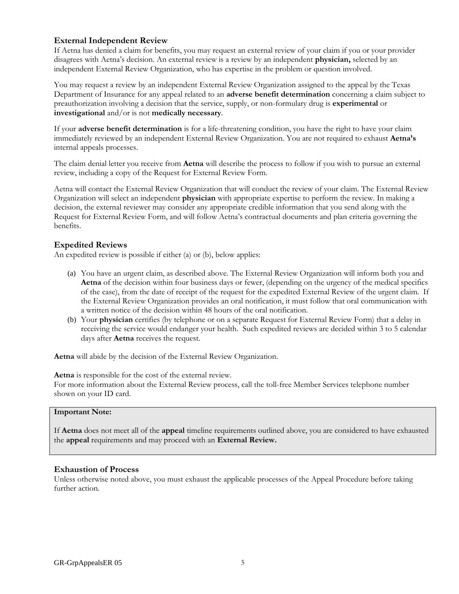### **External Independent Review**

If Aetna has denied a claim for benefits, you may request an external review of your claim if you or your provider disagrees with Aetna's decision. An external review is a review by an independent **physician,** selected by an independent External Review Organization, who has expertise in the problem or question involved.

You may request a review by an independent External Review Organization assigned to the appeal by the Texas Department of Insurance for any appeal related to an **adverse benefit determination** concerning a claim subject to preauthorization involving a decision that the service, supply, or non-formulary drug is **experimental** or **investigational** and/or is not **medically necessary**.

If your **adverse benefit determination** is for a life-threatening condition, you have the right to have your claim immediately reviewed by an independent External Review Organization. You are not required to exhaust **Aetna's**  internal appeals processes.

The claim denial letter you receive from **Aetna** will describe the process to follow if you wish to pursue an external review, including a copy of the Request for External Review Form.

Aetna will contact the External Review Organization that will conduct the review of your claim. The External Review Organization will select an independent **physician** with appropriate expertise to perform the review. In making a decision, the external reviewer may consider any appropriate credible information that you send along with the Request for External Review Form, and will follow Aetna's contractual documents and plan criteria governing the benefits.

### **Expedited Reviews**

An expedited review is possible if either (a) or (b), below applies:

- (a) You have an urgent claim, as described above. The External Review Organization will inform both you and **Aetna** of the decision within four business days or fewer, (depending on the urgency of the medical specifics of the case), from the date of receipt of the request for the expedited External Review of the urgent claim. If the External Review Organization provides an oral notification, it must follow that oral communication with a written notice of the decision within 48 hours of the oral notification.
- (b) Your **physician** certifies (by telephone or on a separate Request for External Review Form) that a delay in receiving the service would endanger your health. Such expedited reviews are decided within 3 to 5 calendar days after **Aetna** receives the request.

**Aetna** will abide by the decision of the External Review Organization.

**Aetna** is responsible for the cost of the external review. For more information about the External Review process, call the toll-free Member Services telephone number shown on your ID card.

#### **Important Note:**

If **Aetna** does not meet all of the **appeal** timeline requirements outlined above, you are considered to have exhausted the **appeal** requirements and may proceed with an **External Review.**

### **Exhaustion of Process**

Unless otherwise noted above, you must exhaust the applicable processes of the Appeal Procedure before taking further action.